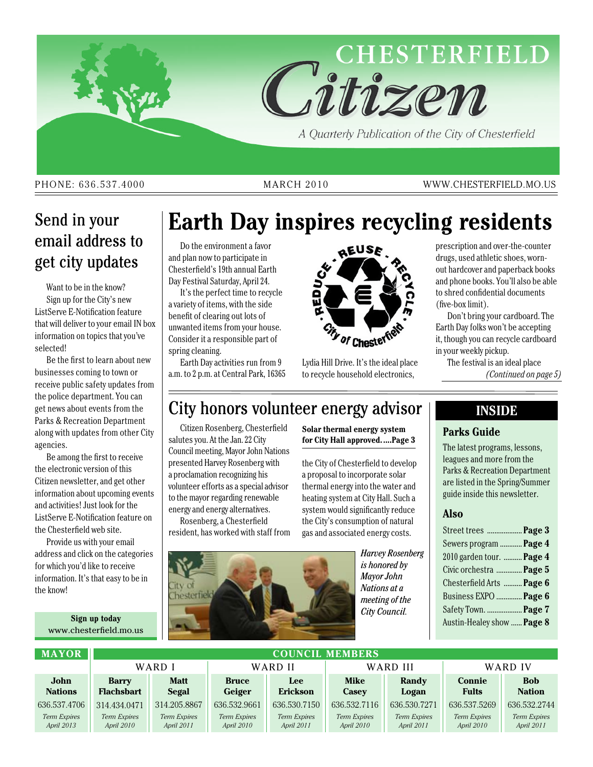

#### PHONE: 636.537.4000 MARCH 2010 WWW.CHESTERFIELD.MO.US

### Send in your email address to get city updates

Want to be in the know? Sign up for the City's new ListServe E-Notification feature that will deliver to your email IN box information on topics that you've selected!

Be the first to learn about new businesses coming to town or receive public safety updates from the police department. You can get news about events from the Parks & Recreation Department along with updates from other City agencies.

Be among the first to receive the electronic version of this Citizen newsletter, and get other information about upcoming events and activities! Just look for the ListServe E-Notification feature on the Chesterfield web site.

Provide us with your email address and click on the categories for which you'd like to receive information. It's that easy to be in the know!

> **Sign up today** www.chesterfield.mo.us

## **Earth Day inspires recycling residents**

Do the environment a favor and plan now to participate in Chesterfield's 19th annual Earth Day Festival Saturday, April 24.

It's the perfect time to recycle a variety of items, with the side benefit of clearing out lots of unwanted items from your house. Consider it a responsible part of spring cleaning.

Earth Day activities run from 9 a.m. to 2 p.m. at Central Park, 16365



Lydia Hill Drive. It's the ideal place to recycle household electronics,

prescription and over-the-counter drugs, used athletic shoes, wornout hardcover and paperback books and phone books. You'll also be able to shred confidential documents (five-box limit).

Don't bring your cardboard. The Earth Day folks won't be accepting it, though you can recycle cardboard in your weekly pickup.

The festival is an ideal place *(Continued on page 5)*

### City honors volunteer energy advisor

Citizen Rosenberg, Chesterfield salutes you. At the Jan. 22 City Council meeting, Mayor John Nations presented Harvey Rosenberg with a proclamation recognizing his volunteer efforts as a special advisor to the mayor regarding renewable energy and energy alternatives.

Rosenberg, a Chesterfield resident, has worked with staff from **Solar thermal energy system for City Hall approved.....Page 3**

the City of Chesterfield to develop a proposal to incorporate solar thermal energy into the water and heating system at City Hall. Such a system would significantly reduce the City's consumption of natural gas and associated energy costs.



*Harvey Rosenberg is honored by Mayor John Nations at a meeting of the City Council.*

#### **Inside**

#### **Parks Guide**

The latest programs, lessons, leagues and more from the Parks & Recreation Department are listed in the Spring/Summer guide inside this newsletter.

#### **Also**

| Street trees  Page 3       |  |
|----------------------------|--|
| Sewers program  Page 4     |  |
| 2010 garden tour.  Page 4  |  |
| Civic orchestra  Page 5    |  |
| Chesterfield Arts  Page 6  |  |
| Business EXPO  Page 6      |  |
| Safety Town.  Page 7       |  |
| Austin-Healey show  Page 8 |  |
|                            |  |

| <b>MAYOR</b>                        | <b>COUNCIL MEMBERS</b>              |                              |                              |                                     |                                       |                                     |                               |                                     |
|-------------------------------------|-------------------------------------|------------------------------|------------------------------|-------------------------------------|---------------------------------------|-------------------------------------|-------------------------------|-------------------------------------|
|                                     | WARD I                              |                              | WARD II                      |                                     | WARD III                              |                                     | WARD IV                       |                                     |
| John<br><b>Nations</b>              | <b>Barry</b><br><b>Flachsbart</b>   | <b>Matt</b><br>Segal         | <b>Bruce</b><br>Geiger       | Lee<br><b>Erickson</b>              | <b>Mike</b><br><b>Casev</b>           | Randy<br>Logan                      | <b>Connie</b><br><b>Fults</b> | <b>Bob</b><br><b>Nation</b>         |
| 636.537.4706<br><b>Term Expires</b> | 314.434.0471<br><b>Term Expires</b> | 314.205.8867<br>Term Expires | 636.532.9661<br>Term Expires | 636.530.7150<br><b>Term Expires</b> | 636, 532, 7116<br><b>Term Expires</b> | 636.530.7271<br><b>Term Expires</b> | 636.537.5269<br>Term Expires  | 636.532.2744<br><b>Term Expires</b> |
| April 2013                          | April 2010                          | April 2011                   | April 2010                   | April 2011                          | April 2010                            | April 2011                          | April 2010                    | April 2011                          |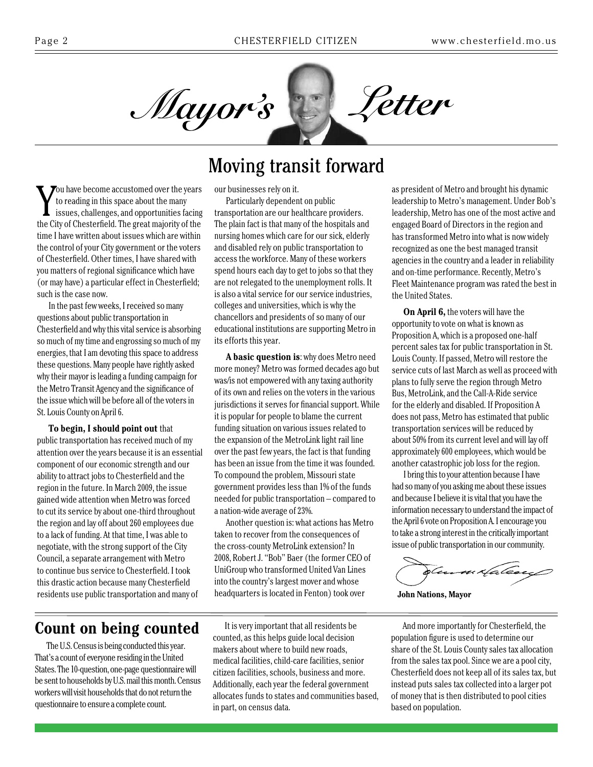

Moving transit forward

#### You have become accustomed over the years<br>to reading in this space about the many<br>issues, challenges, and opportunities facing<br>the City of Chesterfield. The great majority of the ou have become accustomed over the years to reading in this space about the many issues, challenges, and opportunities facing time I have written about issues which are within the control of your City government or the voters of Chesterfield. Other times, I have shared with you matters of regional significance which have (or may have) a particular effect in Chesterfield; such is the case now.

In the past few weeks, I received so many questions about public transportation in Chesterfield and why this vital service is absorbing so much of my time and engrossing so much of my energies, that I am devoting this space to address these questions. Many people have rightly asked why their mayor is leading a funding campaign for the Metro Transit Agency and the significance of the issue which will be before all of the voters in St. Louis County on April 6.

#### **To begin, I should point out** that public transportation has received much of my attention over the years because it is an essential component of our economic strength and our ability to attract jobs to Chesterfield and the region in the future. In March 2009, the issue gained wide attention when Metro was forced to cut its service by about one-third throughout the region and lay off about 260 employees due to a lack of funding. At that time, I was able to negotiate, with the strong support of the City Council, a separate arrangement with Metro to continue bus service to Chesterfield. I took this drastic action because many Chesterfield residents use public transportation and many of

#### our businesses rely on it.

Particularly dependent on public transportation are our healthcare providers. The plain fact is that many of the hospitals and nursing homes which care for our sick, elderly and disabled rely on public transportation to access the workforce. Many of these workers spend hours each day to get to jobs so that they are not relegated to the unemployment rolls. It is also a vital service for our service industries, colleges and universities, which is why the chancellors and presidents of so many of our educational institutions are supporting Metro in its efforts this year.

**A basic question is**: why does Metro need more money? Metro was formed decades ago but was/is not empowered with any taxing authority of its own and relies on the voters in the various jurisdictions it serves for financial support. While it is popular for people to blame the current funding situation on various issues related to the expansion of the MetroLink light rail line over the past few years, the fact is that funding has been an issue from the time it was founded. To compound the problem, Missouri state government provides less than 1% of the funds needed for public transportation – compared to a nation-wide average of 23%.

Another question is: what actions has Metro taken to recover from the consequences of the cross-county MetroLink extension? In 2008, Robert J. "Bob" Baer (the former CEO of UniGroup who transformed United Van Lines into the country's largest mover and whose headquarters is located in Fenton) took over

### **Count on being counted**

The U.S. Census is being conducted this year. That's a count of everyone residing in the United States. The 10-question, one-page questionnaire will be sent to households by U.S. mail this month. Census workers will visit households that do not return the questionnaire to ensure a complete count.

It is very important that all residents be counted, as this helps guide local decision makers about where to build new roads, medical facilities, child-care facilities, senior citizen facilities, schools, business and more. Additionally, each year the federal government allocates funds to states and communities based, in part, on census data.

as president of Metro and brought his dynamic leadership to Metro's management. Under Bob's leadership, Metro has one of the most active and engaged Board of Directors in the region and has transformed Metro into what is now widely recognized as one the best managed transit agencies in the country and a leader in reliability and on-time performance. Recently, Metro's Fleet Maintenance program was rated the best in the United States.

**On April 6,** the voters will have the opportunity to vote on what is known as Proposition A, which is a proposed one-half percent sales tax for public transportation in St. Louis County. If passed, Metro will restore the service cuts of last March as well as proceed with plans to fully serve the region through Metro Bus, MetroLink, and the Call-A-Ride service for the elderly and disabled. If Proposition A does not pass, Metro has estimated that public transportation services will be reduced by about 50% from its current level and will lay off approximately 600 employees, which would be another catastrophic job loss for the region.

I bring this to your attention because I have had so many of you asking me about these issues and because I believe it is vital that you have the information necessary to understand the impact of the April 6 vote on Proposition A. I encourage you to take a strong interest in the critically important issue of public transportation in our community.

mxfalesey

**John Nations, Mayor**

And more importantly for Chesterfield, the population figure is used to determine our share of the St. Louis County sales tax allocation from the sales tax pool. Since we are a pool city, Chesterfield does not keep all of its sales tax, but instead puts sales tax collected into a larger pot of money that is then distributed to pool cities based on population.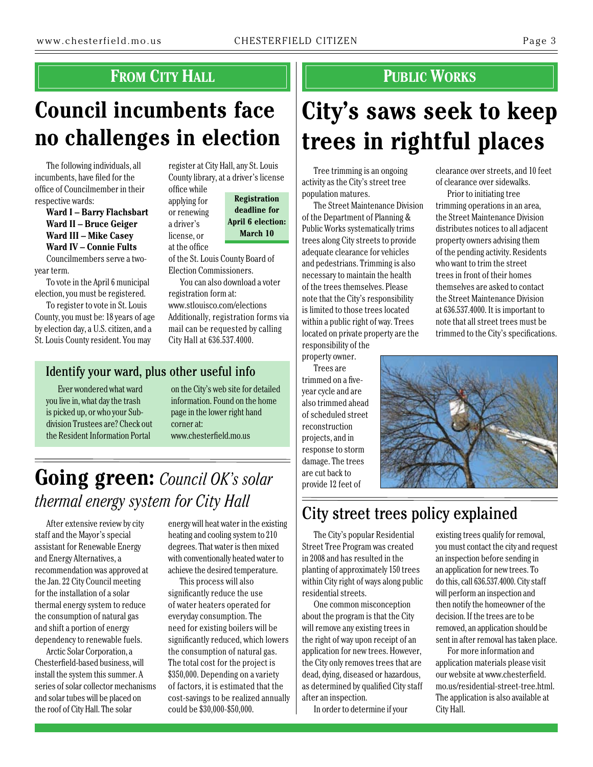### **FROM CITY HALL And ALL CONSUMPLIE PUBLIC WORKS**

## **Council incumbents face no challenges in election**

a driver's

The following individuals, all incumbents, have filed for the office of Councilmember in their respective wards:

**Ward I – Barry Flachsbart Ward II – Bruce Geiger Ward III – Mike Casey Ward IV – Connie Fults**

Councilmembers serve a twoyear term.

To vote in the April 6 municipal election, you must be registered.

To register to vote in St. Louis County, you must be: 18 years of age by election day, a U.S. citizen, and a St. Louis County resident. You may

register at City Hall, any St. Louis County library, at a driver's license office while

applying for or renewing license, or **Registration deadline for April 6 election: March 10**

at the office of the St. Louis County Board of Election Commissioners.

You can also download a voter registration form at: www.stlouisco.com/elections Additionally, registration forms via mail can be requested by calling City Hall at 636.537.4000.

#### Identify your ward, plus other useful info

Ever wondered what ward you live in, what day the trash is picked up, or who your Subdivision Trustees are? Check out the Resident Information Portal

on the City's web site for detailed information. Found on the home page in the lower right hand corner at: www.chesterfield.mo.us

## **Going green:** *Council OK's solar thermal energy system for City Hall*

After extensive review by city staff and the Mayor's special assistant for Renewable Energy and Energy Alternatives, a recommendation was approved at the Jan. 22 City Council meeting for the installation of a solar thermal energy system to reduce the consumption of natural gas and shift a portion of energy dependency to renewable fuels.

Arctic Solar Corporation, a Chesterfield-based business, will install the system this summer. A series of solar collector mechanisms and solar tubes will be placed on the roof of City Hall. The solar

energy will heat water in the existing heating and cooling system to 210 degrees. That water is then mixed with conventionally heated water to achieve the desired temperature.

This process will also significantly reduce the use of water heaters operated for everyday consumption. The need for existing boilers will be significantly reduced, which lowers the consumption of natural gas. The total cost for the project is \$350,000. Depending on a variety of factors, it is estimated that the cost-savings to be realized annually could be \$30,000-\$50,000.

# **City's saws seek to keep trees in rightful places**

Tree trimming is an ongoing activity as the City's street tree population matures.

The Street Maintenance Division of the Department of Planning & Public Works systematically trims trees along City streets to provide adequate clearance for vehicles and pedestrians. Trimming is also necessary to maintain the health of the trees themselves. Please note that the City's responsibility is limited to those trees located within a public right of way. Trees located on private property are the responsibility of the property owner.

Trees are trimmed on a fiveyear cycle and are also trimmed ahead of scheduled street reconstruction projects, and in response to storm damage. The trees are cut back to provide 12 feet of

clearance over streets, and 10 feet of clearance over sidewalks.

Prior to initiating tree trimming operations in an area, the Street Maintenance Division distributes notices to all adjacent property owners advising them of the pending activity. Residents who want to trim the street trees in front of their homes themselves are asked to contact the Street Maintenance Division at 636.537.4000. It is important to note that all street trees must be trimmed to the City's specifications.



## City street trees policy explained

The City's popular Residential Street Tree Program was created in 2008 and has resulted in the planting of approximately 150 trees within City right of ways along public residential streets.

One common misconception about the program is that the City will remove any existing trees in the right of way upon receipt of an application for new trees. However, the City only removes trees that are dead, dying, diseased or hazardous, as determined by qualified City staff after an inspection.

In order to determine if your

existing trees qualify for removal, you must contact the city and request an inspection before sending in an application for new trees. To do this, call 636.537.4000. City staff will perform an inspection and then notify the homeowner of the decision. If the trees are to be removed, an application should be sent in after removal has taken place.

For more information and application materials please visit our website at www.chesterfield. mo.us/residential-street-tree.html. The application is also available at City Hall.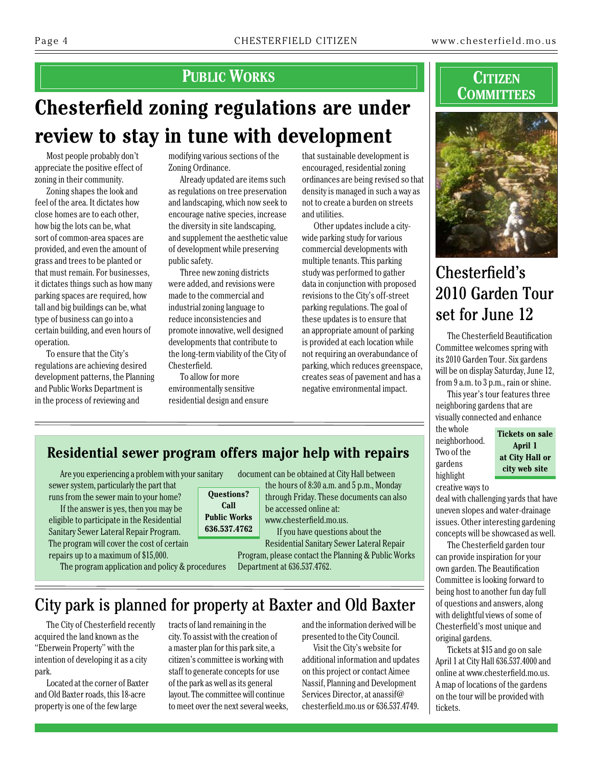### **PUBLIC WORKS CITIZEN**

## **Chesterfield zoning regulations are under review to stay in tune with development**

Most people probably don't appreciate the positive effect of zoning in their community.

Zoning shapes the look and feel of the area. It dictates how close homes are to each other, how big the lots can be, what sort of common-area spaces are provided, and even the amount of grass and trees to be planted or that must remain. For businesses, it dictates things such as how many parking spaces are required, how tall and big buildings can be, what type of business can go into a certain building, and even hours of operation.

To ensure that the City's regulations are achieving desired development patterns, the Planning and Public Works Department is in the process of reviewing and

modifying various sections of the Zoning Ordinance.

Already updated are items such as regulations on tree preservation and landscaping, which now seek to encourage native species, increase the diversity in site landscaping, and supplement the aesthetic value of development while preserving public safety.

Three new zoning districts were added, and revisions were made to the commercial and industrial zoning language to reduce inconsistencies and promote innovative, well designed developments that contribute to the long-term viability of the City of Chesterfield.

To allow for more environmentally sensitive residential design and ensure

that sustainable development is encouraged, residential zoning ordinances are being revised so that density is managed in such a way as not to create a burden on streets and utilities.

Other updates include a citywide parking study for various commercial developments with multiple tenants. This parking study was performed to gather data in conjunction with proposed revisions to the City's off-street parking regulations. The goal of these updates is to ensure that an appropriate amount of parking is provided at each location while not requiring an overabundance of parking, which reduces greenspace, creates seas of pavement and has a negative environmental impact.

# **Committees**



### Chesterfield's 2010 Garden Tour set for June 12

The Chesterfield Beautification Committee welcomes spring with its2010 Garden Tour. Six gardens will be on display Saturday, June 12, from 9 a.m. to 3 p.m., rain or shine.

This year's tour features three neighboring gardens that are visually connected and enhance

the whole neighborhood. Two of the gardens highlight

**Tickets on sale April 1 at City Hall or city web site**

creative ways to deal with challenging yards that have uneven slopes and water-drainage issues. Other interesting gardening concepts will be showcased as well.

The Chesterfield garden tour can provide inspiration for your own garden. The Beautification Committee is looking forward to being host to another fun day full of questions and answers, along with delightful views of some of Chesterfield's most unique and original gardens.

Tickets at \$15 and go on sale April 1 at City Hall 636.537.4000 and online at www.chesterfield.mo.us. A map of locations of the gardens on the tour will be provided with tickets.

### **Residential sewer program offers major help with repairs**

Are you experiencing a problem with your sanitary sewer system, particularly the part that runs from the sewer main to your home?

If the answer is yes, then you may be eligible to participate in the Residential Sanitary Sewer Lateral Repair Program. The program will cover the cost of certain repairs up to a maximum of \$15,000.

The program application and policy & procedures

document can be obtained at City Hall between

**Questions? Call Public Works 636.537.4762** the hours of 8:30 a.m. and 5 p.m., Monday through Friday. These documents can also

be accessed online at:

www.chesterfield.mo.us. If you have questions about the Residential Sanitary Sewer Lateral Repair

Program, please contact the Planning & Public Works Department at 636.537.4762.

### City park is planned for property at Baxter and Old Baxter

The City of Chesterfield recently acquired the land known as the "Eberwein Property" with the intention of developing it as a city park.

Located at the corner of Baxter and Old Baxter roads, this 18-acre property is one of the few large

tracts of land remaining in the city. To assist with the creation of a master plan for this park site, a citizen's committee is working with staff to generate concepts for use of the park as well as its general layout. The committee will continue to meet over the next several weeks, and the information derived will be presented to the City Council.

Visit the City's website for additional information and updates on this project or contact Aimee Nassif, Planning and Development Services Director, at anassif@ chesterfield.mo.us or 636.537.4749.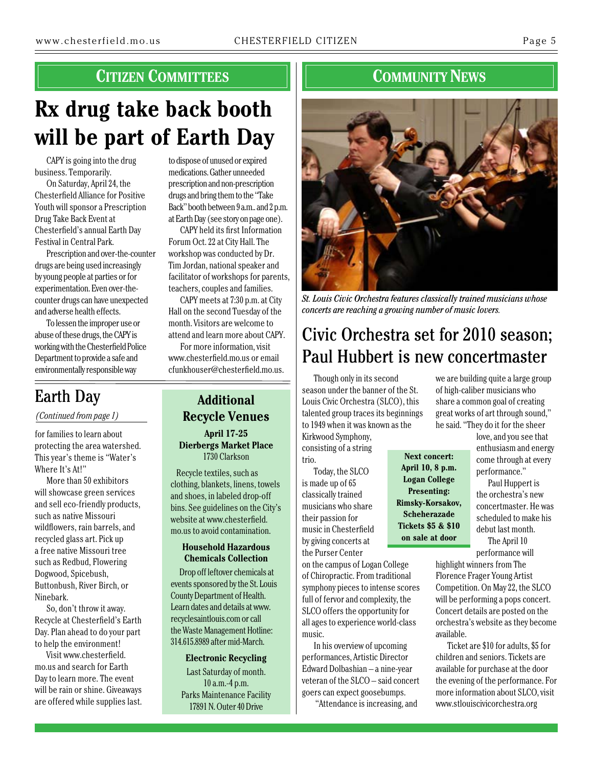### **Citizen Committees**

## **Rx drug take back booth will be part of Earth Day**

CAPY is going into the drug business. Temporarily.

On Saturday, April 24, the Chesterfield Alliance for Positive Youth will sponsor a Prescription Drug Take Back Event at Chesterfield's annual Earth Day Festival in Central Park.

Prescription and over-the-counter drugs are being used increasingly by young people at parties or for experimentation. Even over-thecounter drugs can have unexpected and adverse health effects.

To lessen the improper use or abuse of these drugs, the CAPY is working with the Chesterfield Police Department to provide a safe and environmentally responsible way

to dispose of unused or expired medications. Gather unneeded prescription and non-prescription drugs and bring them to the "Take Back" booth between 9 a.m.. and 2 p.m. at Earth Day (see story on page one).

CAPY held its first Information Forum Oct. 22 at City Hall. The workshop was conducted by Dr. Tim Jordan, national speaker and facilitator of workshops for parents, teachers, couples and families.

CAPY meets at 7:30 p.m. at City Hall on the second Tuesday of the month. Visitors are welcome to attend and learn more about CAPY.

For more information, visit www.chesterfield.mo.us or email cfunkhouser@chesterfield.mo.us.

### Earth Day

*(Continued from page 1)*

for families to learn about protecting the area watershed. This year's theme is "Water's Where It's At!"

More than 50 exhibitors will showcase green services and sell eco-friendly products, such as native Missouri wildflowers, rain barrels, and recycled glass art. Pick up a free native Missouri tree such as Redbud, Flowering Dogwood, Spicebush, Buttonbush, River Birch, or Ninebark.

So, don't throw it away. Recycle at Chesterfield's Earth Day. Plan ahead to do your part to help the environment!

Visit www.chesterfield. mo.us and search for Earth Day to learn more. The event will be rain or shine. Giveaways are offered while supplies last.

### **Additional Recycle Venues April 17-25**

**Dierbergs Market Place** 1730 Clarkson

Recycle textiles, such as clothing, blankets, linens, towels and shoes, in labeled drop-off bins. See guidelines on the City's website at www.chesterfield. mo.us to avoid contamination.

#### **Household Hazardous Chemicals Collection**

Drop off leftover chemicals at events sponsored by the St. Louis County Department of Health. Learn dates and details at www. recyclesaintlouis.com or call the Waste Management Hotline: 314.615.8989 after mid-March.

**Electronic Recycling** Last Saturday of month. 10 a.m.-4 p.m. Parks Maintenance Facility 17891 N. Outer 40 Drive

### **COMMUNITY NEWS**



*St. Louis Civic Orchestra features classically trained musicians whose concerts are reaching a growing number of music lovers.*

## Civic Orchestra set for 2010 season; Paul Hubbert is new concertmaster

Though only in its second season under the banner of the St. Louis Civic Orchestra (SLCO), this talented group traces its beginnings to 1949 when it was known as the Kirkwood Symphony,

consisting of a string trio.

Today, the SLCO is made up of 65 classically trained musicians who share their passion for music in Chesterfield by giving concerts at the Purser Center

on the campus of Logan College of Chiropractic. From traditional symphony pieces to intense scores full of fervor and complexity, the SLCO offers the opportunity for all ages to experience world-class music.

In his overview of upcoming performances, Artistic Director Edward Dolbashian – a nine-year veteran of the SLCO – said concert goers can expect goosebumps.

"Attendance is increasing, and

we are building quite a large group of high-caliber musicians who share a common goal of creating great works of art through sound," he said. "They do it for the sheer

> love, and you see that enthusiasm and energy come through at every performance."

> Paul Huppert is the orchestra's new concertmaster. He was scheduled to make his debut last month.

The April 10 performance will

highlight winners from The Florence Frager Young Artist Competition. On May 22, the SLCO will be performing a pops concert. Concert details are posted on the orchestra's website as they become available.

Ticket are \$10 for adults, \$5 for children and seniors. Tickets are available for purchase at the door the evening of the performance. For more information about SLCO, visit www.stlouiscivicorchestra.org

**Next concert: April 10, 8 p.m. Logan College Presenting: Rimsky-Korsakov, Scheherazade Tickets \$5 & \$10 on sale at door**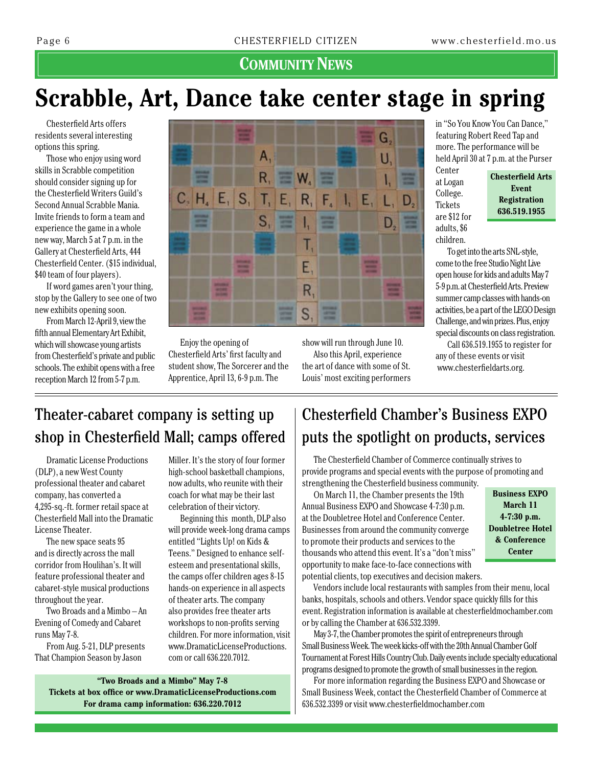#### **COMMUNITY NEWS**

## **Scrabble, Art, Dance take center stage in spring**

Chesterfield Arts offers residents several interesting options this spring.

Those who enjoy using word skills in Scrabble competition should consider signing up for the Chesterfield Writers Guild's Second Annual Scrabble Mania. Invite friends to form a team and experience the game in a whole new way, March 5 at 7 p.m. in the Gallery at Chesterfield Arts, 444 Chesterfield Center. (\$15 individual, \$40 team of four players).

If word games aren't your thing, stop by the Gallery to see one of two new exhibits opening soon.

From March 12-April 9, view the fifth annual Elementary Art Exhibit, which will showcase young artists from Chesterfield's private and public schools. The exhibit opens with a free reception March 12 from 5-7 p.m.



Enjoy the opening of Chesterfield Arts' first faculty and student show, The Sorcerer and the Apprentice, April 13, 6-9 p.m. The

show will run through June 10. Also this April, experience the art of dance with some of St. Louis' most exciting performers

in "So You Know You Can Dance," featuring Robert Reed Tap and more. The performance will be held April 30 at 7 p.m. at the Purser

Center at Logan College. **Tickets** are \$12 for adults, \$6 children.

**Chesterfield Arts Event Registration 636.519.1955**

To get into the arts SNL-style, come to the free Studio Night Live open house for kids and adults May 7 5-9 p.m. at Chesterfield Arts. Preview summer camp classes with hands-on activities, be a part of the LEGO Design Challenge, and win prizes. Plus, enjoy special discounts on class registration.

Call 636.519.1955 to register for any of these events or visit www.chesterfieldarts.org.

### Theater-cabaret company is setting up shop in Chesterfield Mall; camps offered

**"Two Broads and a Mimbo" May 7-8 Tickets at box office or www.DramaticLicenseProductions.com For drama camp information: 636.220.7012**

Dramatic License Productions (DLP), a new West County professional theater and cabaret company, has converted a 4,295-sq.-ft. former retail space at Chesterfield Mall into the Dramatic License Theater.

The new space seats 95 and is directly across the mall corridor from Houlihan's. It will feature professional theater and cabaret-style musical productions throughout the year.

Two Broads and a Mimbo – An Evening of Comedy and Cabaret runs May 7-8.

From Aug. 5-21, DLP presents That Champion Season by Jason

Miller. It's the story of four former high-school basketball champions, now adults, who reunite with their coach for what may be their last celebration of their victory.

Beginning this month, DLP also will provide week-long drama camps entitled "Lights Up! on Kids & Teens." Designed to enhance selfesteem and presentational skills, the camps offer children ages 8-15 hands-on experience in all aspects of theater arts. The company also provides free theater arts workshops to non-profits serving children. For more information, visit www.DramaticLicenseProductions. com or call 636.220.7012.

### Chesterfield Chamber's Business Expo puts the spotlight on products, services

The Chesterfield Chamber of Commerce continually strives to provide programs and special events with the purpose of promoting and strengthening the Chesterfield business community.

On March 11, the Chamber presents the 19th Annual Business Expo and Showcase 4-7:30 p.m. at the Doubletree Hotel and Conference Center. Businesses from around the community converge to promote their products and services to the thousands who attend this event. It's a "don't miss" opportunity to make face-to-face connections with potential clients, top executives and decision makers.

**Business Expo March 11 4-7:30 p.m. Doubletree Hotel & Conference Center**

Vendors include local restaurants with samples from their menu, local banks, hospitals, schools and others. Vendor space quickly fills for this event. Registration information is available at chesterfieldmochamber.com or by calling the Chamber at 636.532.3399.

May 3-7, the Chamber promotes the spirit of entrepreneurs through Small Business Week. The week kicks-off with the 20th Annual Chamber Golf Tournament at Forest Hills Country Club. Daily events include specialty educational programs designed to promote the growth of small businesses in the region.

For more information regarding the Business EXPO and Showcase or Small Business Week, contact the Chesterfield Chamber of Commerce at 636.532.3399 or visit www.chesterfieldmochamber.com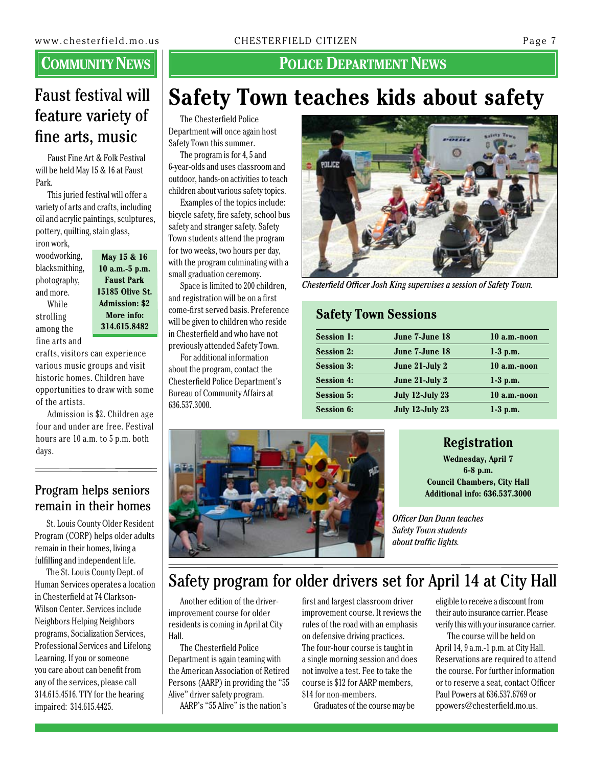### Faust festival will feature variety of fine arts, music

Faust Fine Art & Folk Festival will be held May 15 & 16 at Faust Park.

This juried festival will offer a variety of arts and crafts, including oil and acrylic paintings, sculptures, pottery, quilting, stain glass,

iron work, woodworking, blacksmithing, photography, and more. While strolling among the

fine arts and

**May 15 & 16 10 a.m.-5 p.m. Faust Park 15185 Olive St. Admission: \$2 More info: 314.615.8482**

crafts, visitors can experience various music groups and visit historic homes. Children have opportunities to draw with some of the artists.

Admission is \$2. Children age four and under are free. Festival hours are 10 a.m. to 5 p.m. both days.

#### Program helps seniors remain in their homes

St. Louis County Older Resident Program (CORP) helps older adults remain in their homes, living a fulfilling and independent life.

The St. Louis County Dept. of Human Services operates a location in Chesterfield at 74 Clarkson-Wilson Center. Services include Neighbors Helping Neighbors programs, Socialization Services, Professional Services and Lifelong Learning. If you or someone you care about can benefit from any of the services, please call 314.615.4516. TTY for the hearing impaired: 314.615.4425.

#### **POLICE DEPARTMENT NEWS**

## **Safety Town teaches kids about safety**

The Chesterfield Police Department will once again host Safety Town this summer.

The program is for 4, 5 and 6-year-olds and uses classroom and outdoor, hands-on activities to teach children about various safety topics.

Examples of the topics include: bicycle safety, fire safety, school bus safety and stranger safety. Safety Town students attend the program for two weeks, two hours per day, with the program culminating with a small graduation ceremony.

Space is limited to 200 children, and registration will be on a first come-first served basis. Preference will be given to children who reside in Chesterfield and who have not previously attended Safety Town.

For additional information about the program, contact the Chesterfield Police Department's Bureau of Community Affairs at 636.537.3000.



*Chesterfield Officer Josh King supervises a session of Safety Town.*

#### **Safety Town Sessions**

| 10 a.m.-noon |
|--------------|
|              |
| $1-3$ p.m.   |
| 10 a.m.-noon |
| $1-3$ p.m.   |
| 10 a.m.-noon |
| $1-3$ p.m.   |
|              |



#### **Registration**

**Wednesday, April 7 6-8 p.m. Council Chambers, City Hall Additional info: 636.537.3000**

*Officer Dan Dunn teaches Safety Town students about traffic lights.*

### Safety program for older drivers set for April 14 at City Hall

Another edition of the driverimprovement course for older residents is coming in April at City Hall.

The Chesterfield Police Department is again teaming with the American Association of Retired Persons (AARP) in providing the "55 Alive" driver safety program. AARP's "55 Alive" is the nation's

first and largest classroom driver improvement course. It reviews the rules of the road with an emphasis on defensive driving practices. The four-hour course is taught in a single morning session and does not involve a test. Fee to take the course is \$12 for AARP members, \$14 for non-members.

Graduates of the course may be

eligible to receive a discount from their auto insurance carrier. Please verify this with your insurance carrier.

The course will be held on April 14, 9 a.m.-1 p.m. at City Hall. Reservations are required to attend the course. For further information or to reserve a seat, contact Officer Paul Powers at 636.537.6769 or ppowers@chesterfield.mo.us.